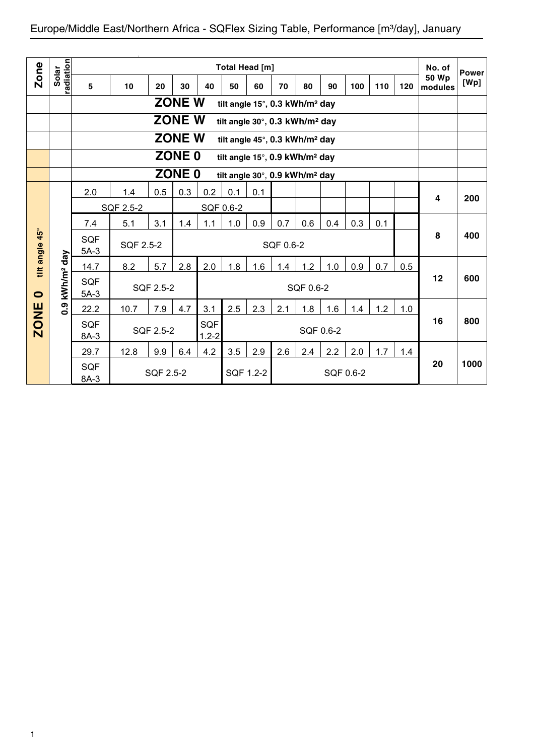| <b>Zone</b>  |                        |                      |           |           |               |                  |           | Total Head [m]                             |           |           |           |           |     |     | No. of                   | <b>Power</b> |
|--------------|------------------------|----------------------|-----------|-----------|---------------|------------------|-----------|--------------------------------------------|-----------|-----------|-----------|-----------|-----|-----|--------------------------|--------------|
|              | radiation<br>Solar     | 5                    | 10        | 20        | 30            | 40               | 50        | 60                                         | 70        | 80        | 90        | 100       | 110 | 120 | 50 Wp<br><b>Imodules</b> | [Wp]         |
|              |                        |                      |           |           | <b>ZONE W</b> |                  |           | tilt angle 15°, 0.3 kWh/m <sup>2</sup> day |           |           |           |           |     |     |                          |              |
|              |                        |                      |           |           | <b>ZONE W</b> |                  |           | tilt angle 30°, 0.3 kWh/m <sup>2</sup> day |           |           |           |           |     |     |                          |              |
|              |                        |                      |           |           | <b>ZONE W</b> |                  |           | tilt angle 45°, 0.3 kWh/m <sup>2</sup> day |           |           |           |           |     |     |                          |              |
|              |                        |                      |           |           | <b>ZONE 0</b> |                  |           | tilt angle 15°, 0.9 kWh/m <sup>2</sup> day |           |           |           |           |     |     |                          |              |
|              |                        |                      |           |           | <b>ZONE 0</b> |                  |           | tilt angle 30°, 0.9 kWh/m <sup>2</sup> day |           |           |           |           |     |     |                          |              |
|              |                        | 2.0                  | 1.4       | 0.5       | 0.3           | 0.2              | 0.1       | 0.1                                        |           |           |           |           |     |     | 4                        | 200          |
|              |                        |                      | SQF 2.5-2 |           |               |                  | SQF 0.6-2 |                                            |           |           |           |           |     |     |                          |              |
|              |                        | 7.4                  | 5.1       | 3.1       | 1.4           | 1.1              | 1.0       | 0.9                                        | 0.7       | 0.6       | 0.4       | 0.3       | 0.1 |     |                          |              |
| $45^{\circ}$ |                        | <b>SQF</b><br>$5A-3$ | SQF 2.5-2 |           |               |                  |           |                                            | SQF 0.6-2 |           |           |           |     |     | 8                        | 400          |
| tilt angle   |                        | 14.7                 | 8.2       | 5.7       | 2.8           | 2.0              | 1.8       | 1.6                                        | 1.4       | 1.2       | 1.0       | 0.9       | 0.7 | 0.5 |                          |              |
| $\bullet$    | kWh/m <sup>2</sup> day | <b>SQF</b><br>$5A-3$ |           | SQF 2.5-2 |               |                  |           |                                            |           | SQF 0.6-2 |           |           |     |     | 12                       | 600          |
|              | 0.9                    | 22.2                 | 10.7      | 7.9       | 4.7           | 3.1              | 2.5       | 2.3                                        | 2.1       | 1.8       | 1.6       | 1.4       | 1.2 | 1.0 |                          |              |
| <b>ZONE</b>  |                        | <b>SQF</b><br>8A-3   |           | SQF 2.5-2 |               | SQF<br>$1.2 - 2$ |           |                                            |           |           | SQF 0.6-2 |           |     |     | 16                       | 800          |
|              |                        | 29.7                 | 12.8      | 9.9       | 6.4           | 4.2              | 3.5       | 2.9                                        | 2.6       | 2.4       | 2.2       | 2.0       | 1.7 | 1.4 |                          |              |
|              |                        | <b>SQF</b><br>8A-3   |           | SQF 2.5-2 |               |                  |           | SQF 1.2-2                                  |           |           |           | SQF 0.6-2 |     |     | 20                       | 1000         |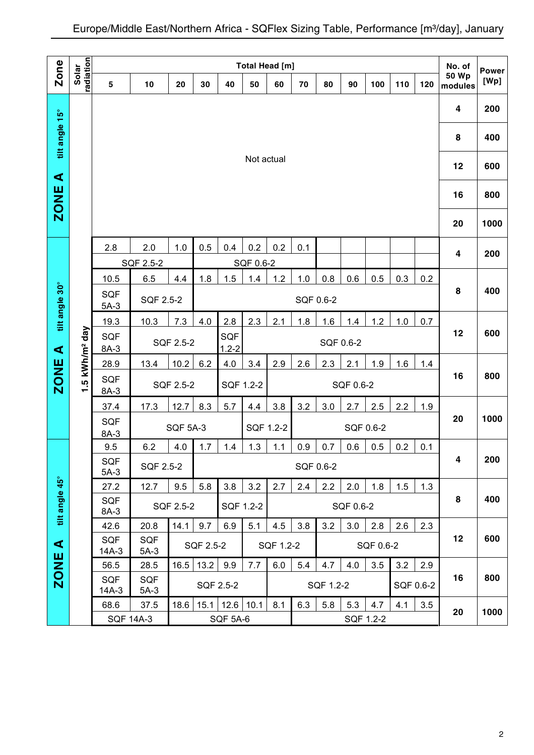|                      |                        |                      |                    |                                     |           |                 |            | <b>Total Head [m]</b> |           |           |     |           |           |     | No. of           | <b>Power</b> |
|----------------------|------------------------|----------------------|--------------------|-------------------------------------|-----------|-----------------|------------|-----------------------|-----------|-----------|-----|-----------|-----------|-----|------------------|--------------|
| <b>Zone</b>          | radiation<br>Solar     | 5                    | 10                 | 20                                  | 30        | 40              | 50         | 60                    | 70        | 80        | 90  | 100       | 110       | 120 | 50 Wp<br>modules | [Wp]         |
|                      |                        |                      |                    |                                     |           |                 |            |                       |           |           |     |           |           |     | 4                | 200          |
| tilt angle 15°       |                        |                      |                    |                                     |           |                 |            |                       |           |           |     |           |           |     | 8                | 400          |
| $\blacktriangleleft$ |                        |                      |                    |                                     |           |                 | Not actual |                       |           |           |     |           |           |     | 12               | 600          |
| <b>ZONE</b>          |                        |                      |                    |                                     |           |                 |            |                       |           |           |     |           |           |     | 16               | 800          |
|                      |                        |                      |                    |                                     |           |                 |            |                       |           |           |     |           |           |     | 20               | 1000         |
|                      |                        | 2.8                  | 2.0                | 1.0                                 | 0.5       | 0.4             | 0.2        | 0.2                   | 0.1       |           |     |           |           |     | 4                | 200          |
|                      |                        |                      | SQF 2.5-2          |                                     |           |                 | SQF 0.6-2  |                       |           |           |     |           |           |     |                  |              |
|                      |                        | 10.5                 | 6.5                | 4.4                                 | 1.8       | 1.5             | 1.4        | 1.2                   | 1.0       | 0.8       | 0.6 | 0.5       | 0.3       | 0.2 |                  |              |
| tilt angle 30°       |                        | <b>SQF</b><br>$5A-3$ | SQF 2.5-2          |                                     |           |                 |            |                       | SQF 0.6-2 |           |     |           |           |     | 8                | 400          |
|                      |                        | 19.3                 | 10.3               | 7.3                                 | 4.0       | 2.8             | 2.3        | 2.1                   | 1.8       | 1.6       | 1.4 | 1.2       | 1.0       | 0.7 |                  |              |
|                      |                        | <b>SQF</b>           |                    | SQF<br>SQF 2.5-2<br>SQF 0.6-2       |           |                 |            |                       |           |           |     |           |           |     | 12               | 600          |
| ⋖                    |                        | $8A-3$               |                    | $1.2 - 2$                           |           |                 |            |                       |           |           |     |           |           |     |                  |              |
|                      | kWh/m <sup>2</sup> day | 28.9                 | 13.4               | 10.2                                | 6.2       | 4.0             | 3.4        | 2.9                   | 2.6       | 2.3       | 2.1 | 1.9       | 1.6       | 1.4 |                  |              |
| <b>ZONE</b>          | <u>ي</u><br>↽          | <b>SQF</b><br>$8A-3$ |                    | SQF 2.5-2<br>SQF 1.2-2<br>SQF 0.6-2 |           |                 |            |                       |           |           |     |           | 16        | 800 |                  |              |
|                      |                        | 37.4                 | 17.3               | 12.7                                | 8.3       | 5.7             | 4.4        | 3.8                   | 3.2       | 3.0       | 2.7 | 2.5       | 2.2       | 1.9 |                  |              |
|                      |                        | <b>SQF</b>           |                    | <b>SQF 5A-3</b>                     |           |                 |            | SQF 1.2-2             |           |           |     | SQF 0.6-2 |           |     | 20               | 1000         |
|                      |                        | $8A-3$               |                    |                                     |           |                 |            |                       |           |           |     |           |           |     |                  |              |
|                      |                        | 9.5<br><b>SQF</b>    | 6.2                | 4.0                                 | 1.7       | 1.4             | 1.3        | 1.1                   | 0.9       | 0.7       | 0.6 | 0.5       | 0.2       | 0.1 | 4                | 200          |
|                      |                        | $5A-3$               |                    | SQF 2.5-2<br>SQF 0.6-2              |           |                 |            |                       |           |           |     |           |           |     |                  |              |
|                      |                        | 27.2                 | 12.7               | 9.5                                 | 5.8       | 3.8             | 3.2        | 2.7                   | 2.4       | 2.2       | 2.0 | 1.8       | 1.5       | 1.3 |                  |              |
| tilt angle 45°       |                        | <b>SQF</b><br>8A-3   |                    | SQF 2.5-2<br>SQF 1.2-2<br>SQF 0.6-2 |           |                 |            |                       |           |           |     |           |           | 8   | 400              |              |
|                      |                        | 42.6                 | 20.8               | 14.1                                | 9.7       | 6.9             | 5.1        | 4.5                   | 3.8       | 3.2       | 3.0 | 2.8       | 2.6       | 2.3 |                  |              |
| $\blacktriangleleft$ |                        | <b>SQF</b>           | SQF                |                                     | SQF 2.5-2 |                 |            | SQF 1.2-2             |           |           |     | SQF 0.6-2 |           |     | 12               | 600          |
|                      |                        | 14A-3                | $5A-3$             |                                     |           |                 |            |                       |           |           |     |           |           |     |                  |              |
| <b>ZONE</b>          |                        | 56.5<br><b>SQF</b>   | 28.5<br><b>SQF</b> | 16.5                                | 13.2      | 9.9             | 7.7        | 6.0                   | 5.4       | 4.7       | 4.0 | 3.5       | 3.2       | 2.9 | 16               | 800          |
|                      |                        | 14A-3                | $5A-3$             |                                     |           | SQF 2.5-2       |            |                       |           | SQF 1.2-2 |     |           | SQF 0.6-2 |     |                  |              |
|                      |                        | 68.6                 | 37.5               | 18.6                                | 15.1      | 12.6            | 10.1       | 8.1                   | 6.3       | 5.8       | 5.3 | 4.7       | 4.1       | 3.5 | 20               | 1000         |
|                      |                        |                      | <b>SQF 14A-3</b>   |                                     |           | <b>SQF 5A-6</b> |            |                       |           |           |     | SQF 1.2-2 |           |     |                  |              |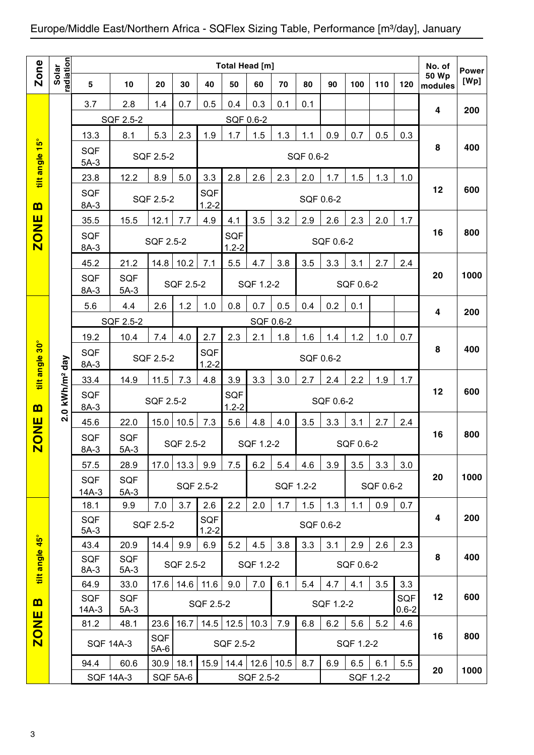|                |                            |                       |                      |                      |           |                  |                  | Total Head [m] |           |           |           |           |           |                  | No. of                  | <b>Power</b> |
|----------------|----------------------------|-----------------------|----------------------|----------------------|-----------|------------------|------------------|----------------|-----------|-----------|-----------|-----------|-----------|------------------|-------------------------|--------------|
| <b>Zone</b>    | radiation<br>Solar         | 5                     | 10                   | 20                   | 30        | 40               | 50               | 60             | 70        | 80        | 90        | 100       | 110       | 120              | <b>50 Wp</b><br>modules | [Wp]         |
|                |                            | 3.7                   | 2.8                  | 1.4                  | 0.7       | 0.5              | 0.4              | 0.3            | 0.1       | 0.1       |           |           |           |                  | $\overline{4}$          |              |
|                |                            |                       | SQF 2.5-2            |                      |           |                  | SQF 0.6-2        |                |           |           |           |           |           |                  |                         | 200          |
|                |                            | 13.3                  | 8.1                  | 5.3                  | 2.3       | 1.9              | 1.7              | 1.5            | 1.3       | 1.1       | 0.9       | 0.7       | 0.5       | 0.3              |                         |              |
| tilt angle 15° |                            | <b>SQF</b><br>$5A-3$  |                      | SQF 2.5-2            |           |                  |                  |                |           | SQF 0.6-2 |           |           |           |                  | 8                       | 400          |
|                |                            | 23.8                  | 12.2                 | 8.9                  | 5.0       | 3.3              | 2.8              | 2.6            | 2.3       | 2.0       | 1.7       | 1.5       | 1.3       | 1.0              |                         |              |
| $\mathbf{m}$   |                            | <b>SQF</b><br>8A-3    |                      | SQF 2.5-2            |           | SQF<br>$1.2 - 2$ |                  |                |           | SQF 0.6-2 |           |           |           |                  | 12                      | 600          |
|                |                            | 35.5                  | 15.5                 | 12.1                 | 7.7       | 4.9              | 4.1              | 3.5            | 3.2       | 2.9       | 2.6       | 2.3       | 2.0       | 1.7              |                         |              |
| <b>ZONE</b>    |                            | <b>SQF</b><br>8A-3    |                      | SQF 2.5-2            |           |                  | SQF<br>$1.2 - 2$ |                |           |           | SQF 0.6-2 |           |           |                  | 16                      | 800          |
|                |                            | 45.2                  | 21.2                 | 14.8                 | 10.2      | 7.1              | 5.5              | 4.7            | 3.8       | 3.5       | 3.3       | 3.1       | 2.7       | 2.4              |                         |              |
|                |                            | <b>SQF</b><br>8A-3    | <b>SQF</b><br>$5A-3$ |                      | SQF 2.5-2 |                  |                  | SQF 1.2-2      |           |           |           | SQF 0.6-2 |           |                  | 20                      | 1000         |
|                |                            | 5.6                   | 4.4                  | 2.6                  | 1.2       | 1.0              | 0.8              | 0.7            | 0.5       | 0.4       | 0.2       | 0.1       |           |                  | 4                       | 200          |
|                |                            |                       | SQF 2.5-2            |                      |           |                  |                  | SQF 0.6-2      |           |           |           |           |           |                  |                         |              |
|                |                            | 19.2                  | 10.4                 | 7.4                  | 4.0       | 2.7              | 2.3              | 2.1            | 1.8       | 1.6       | 1.4       | 1.2       | 1.0       | 0.7              |                         |              |
| tilt angle 30° |                            | <b>SQF</b><br>8A-3    |                      | SQF 2.5-2            |           | SQF<br>$1.2 - 2$ |                  |                |           | SQF 0.6-2 |           |           |           |                  | 8                       | 400          |
|                |                            | 33.4                  | 14.9                 | 11.5                 | 7.3       | 4.8              | 3.9              | 3.3            | 3.0       | 2.7       | 2.4       | 2.2       | 1.9       | 1.7              |                         |              |
|                | 2.0 kWh/m <sup>2</sup> day | SQF                   |                      | SQF 2.5-2            |           |                  | SQF              |                |           |           | SQF 0.6-2 |           |           |                  | 12                      | 600          |
| $\mathbf{m}$   |                            | 8A-3<br>45.6          | 22.0                 | 15.0                 | 10.5      | 7.3              | $1.2 - 2$<br>5.6 | 4.8            | 4.0       | 3.5       | 3.3       | 3.1       | 2.7       | 2.4              |                         |              |
| <b>ZONE</b>    |                            | SQF                   | SQF                  |                      | SQF 2.5-2 |                  |                  | SQF 1.2-2      |           |           |           | SQF 0.6-2 |           |                  | 16                      | 800          |
|                |                            | $8A-3$                | $5A-3$               |                      |           |                  |                  |                |           |           |           |           |           |                  |                         |              |
|                |                            | 57.5<br><b>SQF</b>    | 28.9<br><b>SQF</b>   |                      | 17.0 13.3 | 9.9              | 7.5              | 6.2            | 5.4       | 4.6       | 3.9       | 3.5       | 3.3       | 3.0              | 20                      | 1000         |
|                |                            | $14A-3$               | $5A-3$               |                      |           | SQF 2.5-2        |                  |                | SQF 1.2-2 |           |           |           | SQF 0.6-2 |                  |                         |              |
|                |                            | 18.1                  | 9.9                  | 7.0                  | 3.7       | 2.6              | 2.2              | 2.0            | 1.7       | 1.5       | 1.3       | 1.1       | 0.9       | 0.7              |                         |              |
|                |                            | SQF<br>$5A-3$         |                      | SQF 2.5-2            |           | SQF<br>$1.2 - 2$ |                  |                |           | SQF 0.6-2 |           |           |           |                  | 4                       | 200          |
|                |                            | 43.4                  | 20.9                 | 14.4                 | 9.9       | 6.9              | 5.2              | 4.5            | 3.8       | 3.3       | 3.1       | 2.9       | 2.6       | 2.3              |                         |              |
| tilt angle 45° |                            | <b>SQF</b><br>8A-3    | <b>SQF</b><br>$5A-3$ |                      | SQF 2.5-2 |                  |                  | SQF 1.2-2      |           |           |           | SQF 0.6-2 |           |                  | 8                       | 400          |
|                |                            | 64.9                  | 33.0                 | 17.6                 | 14.6      | 11.6             | 9.0              | 7.0            | 6.1       | 5.4       | 4.7       | 4.1       | 3.5       | 3.3              |                         |              |
| $\mathbf{m}$   |                            | <b>SQF</b><br>$14A-3$ | <b>SQF</b><br>$5A-3$ |                      |           | SQF 2.5-2        |                  |                |           |           | SQF 1.2-2 |           |           | SQF<br>$0.6 - 2$ | 12                      | 600          |
| <b>ZONE</b>    |                            | 81.2                  | 48.1                 | 23.6                 | 16.7      |                  | $14.5$ 12.5      | 10.3           | 7.9       | 6.8       | 6.2       | 5.6       | 5.2       | 4.6              |                         |              |
|                |                            | <b>SQF 14A-3</b>      |                      | <b>SQF</b><br>$5A-6$ |           |                  | SQF 2.5-2        |                |           |           |           | SQF 1.2-2 |           |                  | 16                      | 800          |
|                |                            | 94.4                  | 60.6                 | 30.9                 | 18.1      | 15.9             | 14.4             | 12.6           | 10.5      | 8.7       | 6.9       | 6.5       | 6.1       | 5.5              | 20                      | 1000         |
|                |                            | <b>SQF 14A-3</b>      |                      |                      | SQF 5A-6  |                  |                  | SQF 2.5-2      |           |           |           |           | SQF 1.2-2 |                  |                         |              |
|                |                            |                       |                      |                      |           |                  |                  |                |           |           |           |           |           |                  |                         |              |
|                |                            |                       |                      |                      |           |                  |                  |                |           |           |           |           |           |                  |                         |              |
| 3              |                            |                       |                      |                      |           |                  |                  |                |           |           |           |           |           |                  |                         |              |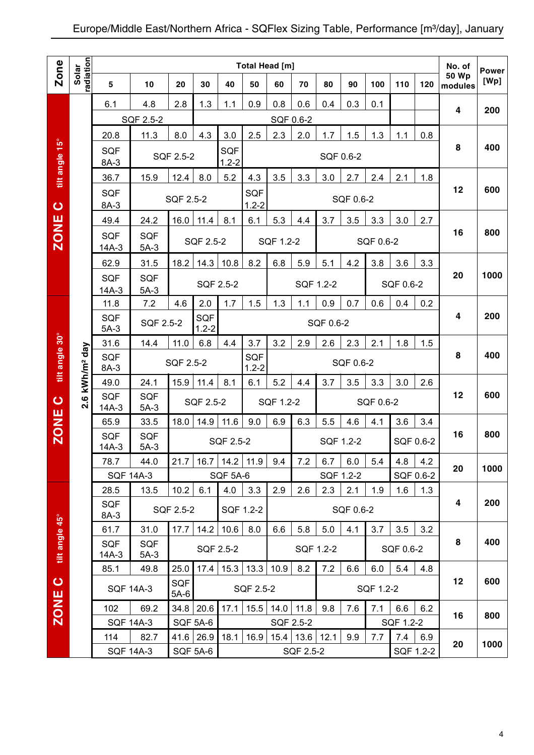|                |                                   |                       |                          |               |                              |                      | <b>Total Head [m]</b> |           |           |           |           |           |           |           | No. of           | <b>Power</b> |
|----------------|-----------------------------------|-----------------------|--------------------------|---------------|------------------------------|----------------------|-----------------------|-----------|-----------|-----------|-----------|-----------|-----------|-----------|------------------|--------------|
| Zone           | radiation<br>Solar                | 5                     | 10                       | 20            | 30                           | 40                   | 50                    | 60        | 70        | 80        | 90        | 100       | 110       | 120       | 50 Wp<br>modules | [Wp]         |
|                |                                   | 6.1                   | 4.8                      | 2.8           | 1.3                          | 1.1                  | 0.9                   | 0.8       | 0.6       | 0.4       | 0.3       | 0.1       |           |           |                  |              |
|                |                                   |                       | SQF 2.5-2                |               |                              |                      |                       |           | SQF 0.6-2 |           |           |           |           |           | 4                | 200          |
|                |                                   | 20.8                  | 11.3                     | 8.0           | 4.3                          | 3.0                  | 2.5                   | 2.3       | 2.0       | 1.7       | 1.5       | 1.3       | 1.1       | 0.8       |                  |              |
| tilt angle 15° |                                   | <b>SQF</b><br>8A-3    |                          | SQF 2.5-2     |                              | SQF<br>$1.2 - 2$     |                       |           |           |           | SQF 0.6-2 |           |           |           | 8                | 400          |
|                |                                   | 36.7                  | 15.9                     | 12.4          | 8.0                          | 5.2                  | 4.3                   | 3.5       | 3.3       | 3.0       | 2.7       | 2.4       | 2.1       | 1.8       |                  |              |
| $\bullet$      |                                   | <b>SQF</b><br>8A-3    |                          | SQF 2.5-2     |                              |                      | SQF<br>$1.2 - 2$      |           |           |           | SQF 0.6-2 |           |           |           | 12               | 600          |
|                |                                   | 49.4                  | 24.2                     | 16.0          | 11.4                         | 8.1                  | 6.1                   | 5.3       | 4.4       | 3.7       | 3.5       | 3.3       | 3.0       | 2.7       |                  |              |
| <b>ZONE</b>    |                                   | <b>SQF</b><br>$14A-3$ | <b>SQF</b><br>$5A-3$     |               | SQF 2.5-2                    |                      |                       | SQF 1.2-2 |           |           |           | SQF 0.6-2 |           |           | 16               | 800          |
|                |                                   | 62.9                  | 31.5                     | 18.2          | 14.3                         | 10.8                 | 8.2                   | 6.8       | 5.9       | 5.1       | 4.2       | 3.8       | 3.6       | 3.3       |                  |              |
|                |                                   | <b>SQF</b><br>$14A-3$ | <b>SQF</b><br>$5A-3$     |               |                              | SQF 2.5-2            |                       |           |           | SQF 1.2-2 |           |           | SQF 0.6-2 |           | 20               | 1000         |
|                |                                   | 11.8                  | 7.2                      | 4.6           | 2.0                          | 1.7                  | 1.5                   | 1.3       | 1.1       | 0.9       | 0.7       | 0.6       | 0.4       | 0.2       |                  |              |
|                |                                   | <b>SQF</b><br>$5A-3$  | SQF 2.5-2                |               | <b>SQF</b><br>$1.2 - 2$      |                      |                       |           |           | SQF 0.6-2 |           |           |           |           | 4                | 200          |
|                |                                   | 31.6                  | 14.4                     | 11.0          | 6.8                          | 4.4                  | 3.7                   | 3.2       | 2.9       | 2.6       | 2.3       | 2.1       | 1.8       | 1.5       |                  |              |
| tilt angle 30° | kWh/m <sup>2</sup> day            | SQF<br>8A-3           |                          | SQF 2.5-2     |                              |                      | SQF<br>$1.2 - 2$      |           |           |           | SQF 0.6-2 |           |           |           | 8                | 400          |
|                |                                   | 49.0                  | 24.1                     | 15.9          | 11.4                         | 8.1                  | 6.1                   | 5.2       | 4.4       | 3.7       | 3.5       | 3.3       | 3.0       | 2.6       |                  |              |
| $\bullet$      | $\boldsymbol{\omega}$<br><b>N</b> | <b>SQF</b><br>$14A-3$ | <b>SQF</b><br>$5A-3$     |               | SQF 2.5-2                    |                      |                       | SQF 1.2-2 |           |           |           | SQF 0.6-2 |           |           | 12               | 600          |
|                |                                   | 65.9                  | 33.5                     | 18.0          | 14.9                         | 11.6                 | 9.0                   | 6.9       | 6.3       | 5.5       | 4.6       | 4.1       | 3.6       | 3.4       |                  |              |
| <b>ZONE</b>    |                                   | SQF<br>$14A-3$        | <b>SQF</b><br>$5A-3$     |               |                              | SQF 2.5-2            |                       |           |           |           | SQF 1.2-2 |           | SQF 0.6-2 |           | 16               | 800          |
|                |                                   | 78.7                  | 44.0                     | 21.7          |                              | $16.7$   14.2   11.9 |                       | 9.4       | 7.2       | 6.7       | 6.0       | 5.4       | 4.8       | 4.2       |                  |              |
|                |                                   |                       | <b>SQF 14A-3</b>         |               |                              | <b>SQF 5A-6</b>      |                       |           |           |           | SQF 1.2-2 |           | SQF 0.6-2 |           | 20               | 1000         |
|                |                                   | 28.5                  | 13.5                     | 10.2          | 6.1                          | 4.0                  | 3.3                   | 2.9       | 2.6       | 2.3       | 2.1       | 1.9       | 1.6       | 1.3       |                  |              |
|                |                                   | <b>SQF</b><br>8A-3    |                          | SQF 2.5-2     |                              |                      | SQF 1.2-2             |           |           |           | SQF 0.6-2 |           |           |           | 4                | 200          |
|                |                                   | 61.7                  | 31.0                     | 17.7          | 14.2                         | 10.6                 | 8.0                   | 6.6       | 5.8       | 5.0       | 4.1       | 3.7       | 3.5       | 3.2       |                  |              |
| tilt angle 45° |                                   | <b>SQF</b><br>$14A-3$ | <b>SQF</b><br>$5A-3$     |               |                              | SQF 2.5-2            |                       |           |           | SQF 1.2-2 |           |           | SQF 0.6-2 |           | 8                | 400          |
|                |                                   | 85.1                  | 49.8                     | 25.0          | 17.4                         | 15.3                 | 13.3                  | 10.9      | 8.2       | 7.2       | 6.6       | 6.0       | 5.4       | 4.8       |                  |              |
| $\bullet$      |                                   |                       | <b>SQF 14A-3</b>         | SQF<br>$5A-6$ |                              |                      | SQF 2.5-2             |           |           |           |           | SQF 1.2-2 |           |           | 12               | 600          |
| <b>ZONE</b>    |                                   | 102                   | 69.2                     |               | 34.8 20.6                    | 17.1                 | 15.5                  | 14.0      | 11.8      | 9.8       | $7.6$     | 7.1       | 6.6       | 6.2       | 16               | 800          |
|                |                                   |                       | <b>SQF 14A-3</b>         |               | <b>SQF 5A-6</b>              |                      |                       |           | SQF 2.5-2 |           |           |           | SQF 1.2-2 |           |                  |              |
|                |                                   | 114                   | 82.7<br><b>SQF 14A-3</b> |               | 41.6 26.9<br><b>SQF 5A-6</b> |                      | $18.1$ 16.9           | 15.4      | 13.6      | 12.1      | 9.9       | 7.7       | 7.4       | 6.9       | 20               | 1000         |
|                |                                   |                       |                          |               |                              |                      |                       |           | SQF 2.5-2 |           |           |           |           | SQF 1.2-2 |                  |              |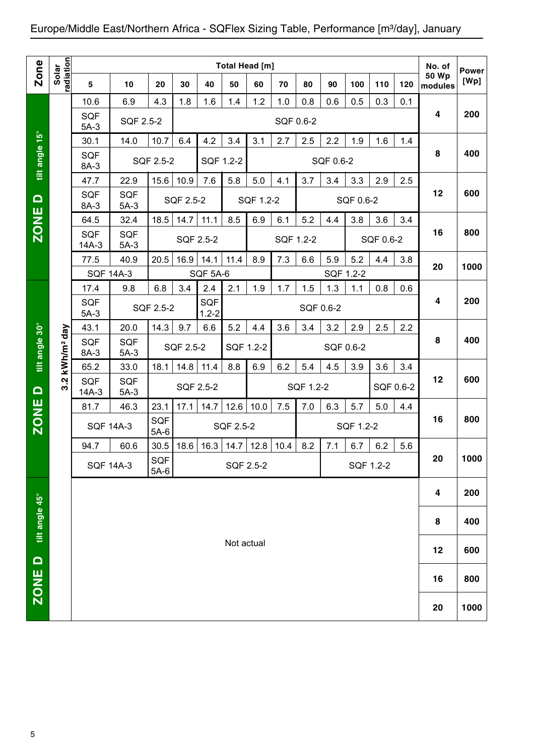| <b>Zone</b>    |                        |                                                                            |                      |                      |           |                  | Total Head [m] |           |           |           |           |           |           |     | No. of                  | <b>Power</b> |
|----------------|------------------------|----------------------------------------------------------------------------|----------------------|----------------------|-----------|------------------|----------------|-----------|-----------|-----------|-----------|-----------|-----------|-----|-------------------------|--------------|
|                | radiation<br>Solar     | 5                                                                          | 10                   | 20                   | 30        | 40               | 50             | 60        | 70        | 80        | 90        | 100       | 110       | 120 | <b>50 Wp</b><br>modules | [Wp]         |
|                |                        | 10.6                                                                       | 6.9                  | 4.3                  | 1.8       | 1.6              | 1.4            | 1.2       | 1.0       | 0.8       | 0.6       | 0.5       | 0.3       | 0.1 |                         |              |
|                |                        | <b>SQF</b><br>$5A-3$                                                       | SQF 2.5-2            |                      |           |                  |                |           | SQF 0.6-2 |           |           |           |           |     | 4                       | 200          |
|                |                        | 30.1                                                                       | 14.0                 | 10.7                 | 6.4       | 4.2              | 3.4            | 3.1       | 2.7       | 2.5       | 2.2       | 1.9       | 1.6       | 1.4 |                         |              |
| tilt angle 15° |                        | SQF<br>8A-3                                                                |                      | <b>SQF 2.5-2</b>     |           |                  | SQF 1.2-2      |           |           |           | SQF 0.6-2 |           |           |     | 8                       | 400          |
|                |                        | 47.7                                                                       | 22.9                 | 15.6                 | 10.9      | 7.6              | 5.8            | 5.0       | 4.1       | 3.7       | 3.4       | 3.3       | 2.9       | 2.5 |                         |              |
| $\Omega$       |                        | SQF<br>8A-3                                                                | SQF<br>$5A-3$        |                      | SQF 2.5-2 |                  |                | SQF 1.2-2 |           |           |           | SQF 0.6-2 |           |     | 12                      | 600          |
| <b>ZONE</b>    |                        | 64.5                                                                       | 32.4                 | 18.5                 | 14.7      | 11.1             | 8.5            | 6.9       | 6.1       | 5.2       | 4.4       | 3.8       | 3.6       | 3.4 |                         |              |
|                |                        | SQF<br>$14A-3$                                                             | SQF<br>$5A-3$        |                      | SQF 2.5-2 |                  |                |           | SQF 1.2-2 |           |           |           | SQF 0.6-2 |     | 16                      | 800          |
|                |                        | 77.5                                                                       | 40.9                 | 20.5                 | 16.9      | 14.1             | 11.4           | 8.9       | 7.3       | 6.6       | 5.9       | 5.2       | 4.4       | 3.8 | 20                      | 1000         |
|                |                        | <b>SQF 14A-3</b>                                                           |                      |                      |           | SQF 5A-6         |                |           |           |           |           | SQF 1.2-2 |           |     |                         |              |
|                |                        | 17.4                                                                       | 9.8                  | 6.8                  | 3.4       | 2.4              | 2.1            | 1.9       | 1.7       | 1.5       | 1.3       | 1.1       | 0.8       | 0.6 |                         |              |
|                |                        | SQF<br>$5A-3$                                                              |                      | <b>SQF 2.5-2</b>     |           | SQF<br>$1.2 - 2$ |                |           |           | SQF 0.6-2 |           |           |           |     | 4                       | 200          |
|                |                        | 43.1                                                                       | 20.0                 | 14.3                 | 9.7       | 6.6              | 5.2            | 4.4       | 3.6       | 3.4       | 3.2       | 2.9       | 2.5       | 2.2 |                         |              |
| tilt angle 30° | kWh/m <sup>2</sup> day | SQF<br><b>SQF</b><br>SQF 2.5-2<br>SQF 1.2-2<br>SQF 0.6-2<br>8A-3<br>$5A-3$ |                      |                      |           |                  |                |           |           |           |           |           |           | 8   | 400                     |              |
|                |                        | 65.2                                                                       | 33.0                 | 18.1                 | 14.8      | 11.4             | 8.8            | 6.9       | 6.2       | 5.4       | 4.5       | 3.9       | 3.6       | 3.4 |                         |              |
| $\Omega$       | Ņ<br>ကံ                | SQF<br>$14A-3$                                                             | <b>SQF</b><br>$5A-3$ |                      | SQF 2.5-2 |                  |                |           |           | SQF 1.2-2 |           |           | SQF 0.6-2 |     | 12                      | 600          |
|                |                        | 81.7                                                                       | 46.3                 | 23.1                 | 17.1      | 14.7             | 12.6           | 10.0      | 7.5       | 7.0       | 6.3       | 5.7       | 5.0       | 4.4 |                         |              |
| <b>ZONE</b>    |                        | <b>SQF 14A-3</b>                                                           |                      | <b>SQF</b><br>$5A-6$ |           |                  | SQF 2.5-2      |           |           |           |           | SQF 1.2-2 |           |     | 16                      | 800          |
|                |                        | 94.7                                                                       | 60.6                 | 30.5                 | 18.6      | 16.3             | 14.7           | 12.8      | 10.4      | 8.2       | 7.1       | 6.7       | 6.2       | 5.6 |                         |              |
|                |                        | <b>SQF 14A-3</b>                                                           |                      | SQF<br>$5A-6$        |           |                  | SQF 2.5-2      |           |           |           |           | SQF 1.2-2 |           |     | 20                      | 1000         |
|                |                        |                                                                            |                      |                      |           |                  |                |           |           |           |           |           |           |     | 4                       | 200          |
| tilt angle 45° |                        |                                                                            |                      |                      |           |                  |                |           |           |           |           |           |           |     | 8                       | 400          |
|                |                        |                                                                            |                      |                      |           |                  | Not actual     |           |           |           |           |           |           |     |                         |              |
| $\Box$         |                        |                                                                            |                      |                      |           |                  |                |           |           |           |           |           |           |     | 12                      | 600          |
| <b>ZONE</b>    |                        |                                                                            |                      |                      |           |                  |                |           |           |           |           |           |           |     | 16                      | 800          |
|                |                        |                                                                            |                      |                      |           |                  |                |           |           |           |           |           |           |     | 20                      | 1000         |

 $\overline{5}$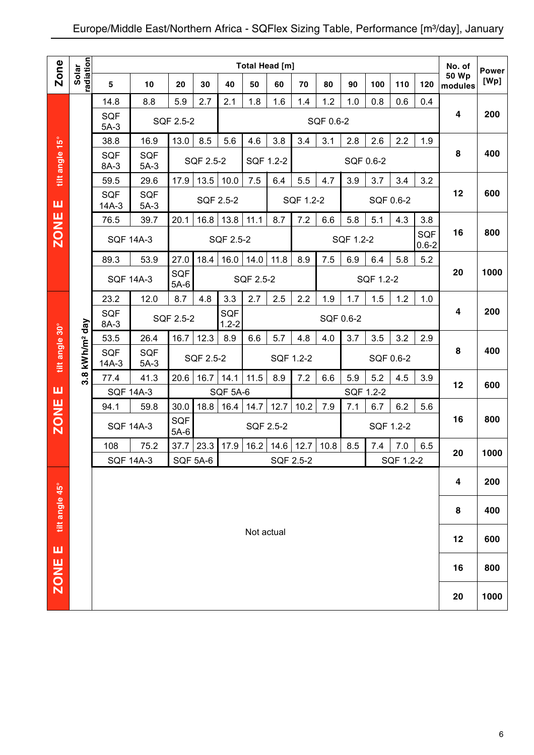|                |                            |                       |                      |                      |                 |                  |            | <b>Total Head [m]</b> |           |           |           |           |           |                  | No. of                  |                      |
|----------------|----------------------------|-----------------------|----------------------|----------------------|-----------------|------------------|------------|-----------------------|-----------|-----------|-----------|-----------|-----------|------------------|-------------------------|----------------------|
| Zone           | Solar<br>radiation         | 5                     | 10                   | 20                   | 30              | 40               | 50         | 60                    | 70        | 80        | 90        | 100       | 110       | 120              | 50 Wp<br>modules        | <b>Power</b><br>[Wp] |
|                |                            | 14.8                  | 8.8                  | 5.9                  | 2.7             | 2.1              | 1.8        | 1.6                   | 1.4       | 1.2       | 1.0       | 0.8       | 0.6       | 0.4              |                         |                      |
|                |                            | <b>SQF</b><br>$5A-3$  |                      | SQF 2.5-2            |                 |                  |            |                       |           | SQF 0.6-2 |           |           |           |                  | $\overline{\mathbf{4}}$ | 200                  |
|                |                            | 38.8                  | 16.9                 | 13.0                 | 8.5             | 5.6              | 4.6        | 3.8                   | 3.4       | 3.1       | 2.8       | 2.6       | 2.2       | 1.9              |                         |                      |
| tilt angle 15° |                            | <b>SQF</b><br>8A-3    | <b>SQF</b><br>$5A-3$ |                      | SQF 2.5-2       |                  |            | SQF 1.2-2             |           |           | SQF 0.6-2 |           |           |                  | 8                       | 400                  |
|                |                            | 59.5                  | 29.6                 | 17.9                 | 13.5            | 10.0             | 7.5        | 6.4                   | 5.5       | 4.7       | 3.9       | 3.7       | 3.4       | 3.2              |                         |                      |
| ш              |                            | <b>SQF</b><br>$14A-3$ | <b>SQF</b><br>$5A-3$ |                      |                 | SQF 2.5-2        |            |                       | SQF 1.2-2 |           |           |           | SQF 0.6-2 |                  | 12                      | 600                  |
|                |                            | 76.5                  | 39.7                 | 20.1                 | 16.8            | 13.8             | 11.1       | 8.7                   | 7.2       | 6.6       | 5.8       | 5.1       | 4.3       | 3.8              |                         |                      |
| <b>ZONE</b>    |                            | <b>SQF 14A-3</b>      |                      |                      |                 | <b>SQF 2.5-2</b> |            |                       |           |           | SQF 1.2-2 |           |           | SQF<br>$0.6 - 2$ | 16                      | 800                  |
|                |                            | 89.3                  | 53.9                 | 27.0                 | 18.4            | 16.0             | 14.0       | 11.8                  | 8.9       | 7.5       | 6.9       | 6.4       | 5.8       | 5.2              |                         |                      |
|                |                            |                       | <b>SQF 14A-3</b>     | SQF<br>$5A-6$        |                 |                  | SQF 2.5-2  |                       |           |           |           | SQF 1.2-2 |           |                  | 20                      | 1000                 |
|                |                            | 23.2                  | 12.0                 | 8.7                  | 4.8             | 3.3              | 2.7        | 2.5                   | 2.2       | 1.9       | 1.7       | 1.5       | 1.2       | 1.0              |                         |                      |
|                |                            | <b>SQF</b><br>8A-3    |                      | SQF 2.5-2            |                 | SQF<br>$1.2 - 2$ |            |                       |           | SQF 0.6-2 |           |           |           |                  | $\overline{\mathbf{4}}$ | 200                  |
|                |                            | 53.5                  | 26.4                 | 16.7                 | 12.3            | 8.9              | 6.6        | 5.7                   | 4.8       | 4.0       | 3.7       | 3.5       | 3.2       | 2.9              |                         |                      |
| tilt angle 30° | 3.8 kWh/m <sup>2</sup> day | <b>SQF</b><br>$14A-3$ | <b>SQF</b><br>$5A-3$ |                      | SQF 2.5-2       |                  |            | SQF 1.2-2             |           |           |           |           | SQF 0.6-2 |                  | 8                       | 400                  |
|                |                            | 77.4                  | 41.3                 | 20.6                 | 16.7            | 14.1             | 11.5       | 8.9                   | 7.2       | 6.6       | 5.9       | 5.2       | 4.5       | 3.9              | 12                      | 600                  |
| ш              |                            | <b>SQF 14A-3</b>      |                      |                      |                 | <b>SQF 5A-6</b>  |            |                       |           |           |           | SQF 1.2-2 |           |                  |                         |                      |
|                |                            | 94.1                  | 59.8                 | 30.0                 | 18.8            | 16.4             | 14.7       | 12.7                  | 10.2      | 7.9       | 7.1       | 6.7       | 6.2       | 5.6              |                         |                      |
| <b>ZONE</b>    |                            |                       | <b>SQF 14A-3</b>     | <b>SQF</b><br>$5A-6$ |                 |                  |            | SQF 2.5-2             |           |           |           |           | SQF 1.2-2 |                  | 16                      | 800                  |
|                |                            | 108                   | 75.2                 | 37.7                 | 23.3            | 17.9             | 16.2       | 14.6                  | 12.7      | 10.8      | 8.5       | 7.4       | 7.0       | 6.5              | 20                      | 1000                 |
|                |                            |                       | <b>SQF 14A-3</b>     |                      | <b>SQF 5A-6</b> |                  |            | SQF 2.5-2             |           |           |           |           | SQF 1.2-2 |                  |                         |                      |
|                |                            |                       |                      |                      |                 |                  |            |                       |           |           |           |           |           |                  | 4                       | 200                  |
| tilt angle 45° |                            |                       |                      |                      |                 |                  |            |                       |           |           |           |           |           |                  | 8                       | 400                  |
| ш              |                            |                       |                      |                      |                 |                  | Not actual |                       |           |           |           |           |           |                  | 12                      | 600                  |
| <b>ZONE</b>    |                            |                       |                      |                      |                 |                  |            |                       |           |           |           |           |           |                  | 16                      | 800                  |
|                |                            |                       |                      |                      |                 |                  |            |                       |           |           |           |           |           |                  | 20                      | 1000                 |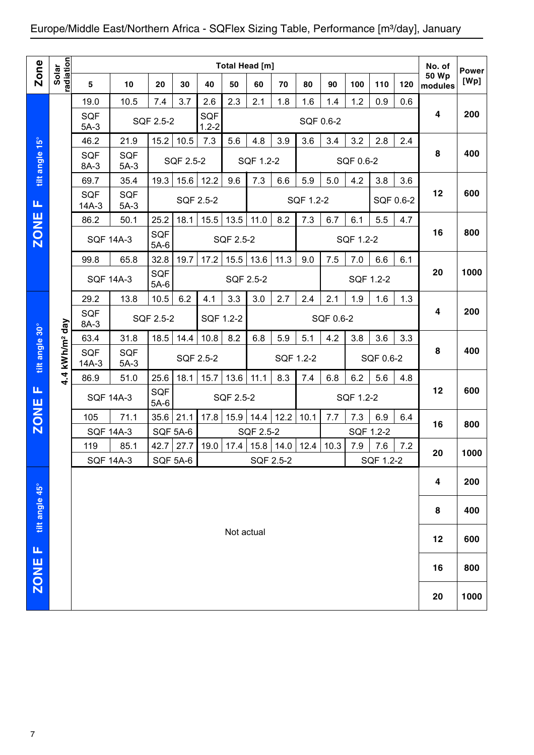|                |                        |                         |                      |                         |           |                  |            | Total Head [m]                             |           |           |           |           |                  |     | No. of                  | <b>Power</b> |
|----------------|------------------------|-------------------------|----------------------|-------------------------|-----------|------------------|------------|--------------------------------------------|-----------|-----------|-----------|-----------|------------------|-----|-------------------------|--------------|
| <b>Zone</b>    | radiation<br>Solar     | 5                       | 10                   | 20                      | 30        | 40               | 50         | 60                                         | 70        | 80        | 90        | 100       | 110              | 120 | <b>50 Wp</b><br>modules | [Wp]         |
|                |                        | 19.0                    | 10.5                 | 7.4                     | 3.7       | 2.6              | 2.3        | 2.1                                        | 1.8       | 1.6       | 1.4       | 1.2       | 0.9              | 0.6 |                         |              |
|                |                        | SQF<br>$5A-3$           |                      | SQF 2.5-2               |           | SQF<br>$1.2 - 2$ |            |                                            |           | SQF 0.6-2 |           |           |                  |     | 4                       | 200          |
|                |                        | 46.2                    | 21.9                 | 15.2                    | 10.5      | 7.3              | 5.6        | 4.8                                        | 3.9       | 3.6       | 3.4       | 3.2       | 2.8              | 2.4 |                         |              |
| tilt angle 15° |                        | <b>SQF</b><br>8A-3      | <b>SQF</b><br>$5A-3$ |                         | SQF 2.5-2 |                  |            | SQF 1.2-2                                  |           |           |           | SQF 0.6-2 |                  |     | 8                       | 400          |
|                |                        | 69.7                    | 35.4                 | 19.3                    | 15.6      | 12.2             | 9.6        | 7.3                                        | 6.6       | 5.9       | 5.0       | 4.2       | 3.8              | 3.6 |                         |              |
| Щ              |                        | <b>SQF</b><br>$14A-3$   | SQF<br>$5A-3$        |                         |           | SQF 2.5-2        |            |                                            |           | SQF 1.2-2 |           |           | SQF 0.6-2        |     | 12                      | 600          |
|                |                        | 86.2                    | 50.1                 | 25.2                    | 18.1      | 15.5             | 13.5       | 11.0                                       | 8.2       | 7.3       | 6.7       | 6.1       | 5.5              | 4.7 |                         |              |
| <b>ZONE</b>    |                        | <b>SQF 14A-3</b>        |                      | SQF<br>$5A-6$           |           |                  | SQF 2.5-2  |                                            |           |           |           | SQF 1.2-2 |                  |     | 16                      | 800          |
|                |                        | 99.8                    | 65.8                 | 32.8                    | 19.7      | 17.2             | 15.5       | 13.6                                       | 11.3      | 9.0       | 7.5       | 7.0       | 6.6              | 6.1 |                         |              |
|                |                        | <b>SQF 14A-3</b>        |                      | SQF<br>$5A-6$           |           |                  | SQF 2.5-2  |                                            |           |           |           |           | SQF 1.2-2        |     | 20                      | 1000         |
|                |                        | 29.2                    | 13.8                 | 10.5                    | 6.2       | 4.1              | 3.3        | 3.0                                        | 2.7       | 2.4       | 2.1       | 1.9       | 1.6              | 1.3 |                         |              |
|                |                        | <b>SQF</b><br>8A-3      |                      | SQF 2.5-2               |           | SQF 1.2-2        |            |                                            |           |           | SQF 0.6-2 |           |                  |     | 4                       | 200          |
|                |                        | 63.4                    | 31.8                 | 18.5                    | 14.4      | 10.8             | 8.2        | 6.8                                        | 5.9       | 5.1       | 4.2       | 3.8       | 3.6              | 3.3 |                         |              |
| tilt angle 30° | kWh/m <sup>2</sup> day | <b>SQF</b><br>$14A-3$   | SQF<br>$5A-3$        |                         |           | SQF 2.5-2        |            |                                            | SQF 1.2-2 |           |           |           | SQF 0.6-2        |     | 8                       | 400          |
|                | 4.4                    | 86.9                    | 51.0                 | 25.6                    | 18.1      | 15.7             | 13.6       | 11.1                                       | 8.3       | 7.4       | 6.8       | 6.2       | 5.6              | 4.8 |                         |              |
| Щ              |                        | <b>SQF 14A-3</b>        |                      | <b>SQF</b><br>$5A-6$    |           |                  | SQF 2.5-2  |                                            |           |           |           | SQF 1.2-2 |                  |     | 12                      | 600          |
| <b>ZONE</b>    |                        | 105                     | 71.1                 | 35.6                    | 21.1      | 17.8             | 15.9       | 14.4                                       | 12.2      | 10.1      | 7.7       | 7.3       | 6.9              | 6.4 | 16                      | 800          |
|                |                        | <b>SQF 14A-3</b><br>119 | 85.1                 | <b>SQF 5A-6</b><br>42.7 | 27.7      |                  |            | SQF 2.5-2<br>19.0 17.4 15.8 14.0 12.4 10.3 |           |           |           | 7.9       | SQF 1.2-2<br>7.6 | 7.2 |                         |              |
|                |                        | <b>SQF 14A-3</b>        |                      | SQF 5A-6                |           |                  |            | SQF 2.5-2                                  |           |           |           |           | SQF 1.2-2        |     | 20                      | 1000         |
|                |                        |                         |                      |                         |           |                  |            |                                            |           |           |           |           |                  |     | 4                       | 200          |
| tilt angle 45° |                        |                         |                      |                         |           |                  |            |                                            |           |           |           |           |                  |     | 8                       | 400          |
|                |                        |                         |                      |                         |           |                  | Not actual |                                            |           |           |           |           |                  |     | 12                      | 600          |
| щ              |                        |                         |                      |                         |           |                  |            |                                            |           |           |           |           |                  |     |                         |              |
| <b>ZONE</b>    |                        |                         |                      |                         |           |                  |            |                                            |           |           |           |           |                  |     | 16                      | 800          |
|                |                        |                         |                      |                         |           |                  |            |                                            |           |           |           |           |                  |     | 20                      | 1000         |
| 7              |                        |                         |                      |                         |           |                  |            |                                            |           |           |           |           |                  |     |                         |              |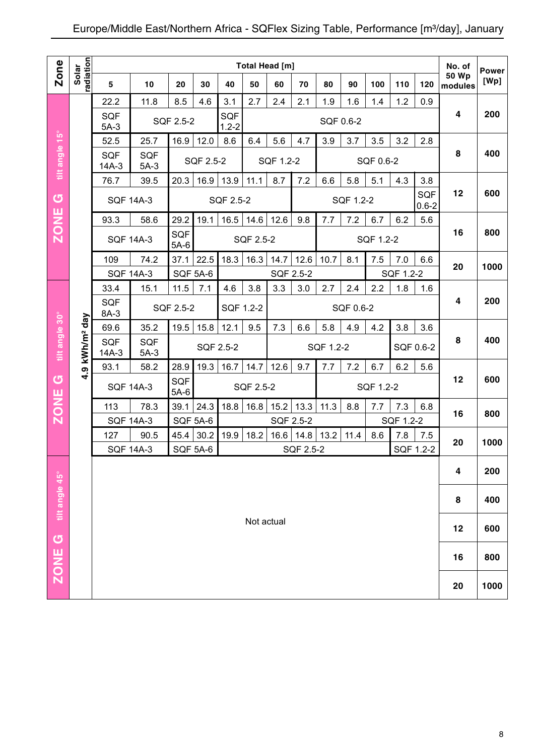|                |                            |                       |                      |               |                 |                  | <b>Total Head [m]</b> |           |           |           |           |           |           |                  | No. of           |                      |
|----------------|----------------------------|-----------------------|----------------------|---------------|-----------------|------------------|-----------------------|-----------|-----------|-----------|-----------|-----------|-----------|------------------|------------------|----------------------|
| <b>Zone</b>    | radiation<br>Solar         | 5                     | 10                   | 20            | 30              | 40               | 50                    | 60        | 70        | 80        | 90        | 100       | 110       | 120              | 50 Wp<br>modules | <b>Power</b><br>[Wp] |
|                |                            | 22.2                  | 11.8                 | 8.5           | 4.6             | 3.1              | 2.7                   | 2.4       | 2.1       | 1.9       | 1.6       | 1.4       | 1.2       | 0.9              |                  |                      |
|                |                            | <b>SQF</b><br>$5A-3$  |                      | SQF 2.5-2     |                 | SQF<br>$1.2 - 2$ |                       |           |           | SQF 0.6-2 |           |           |           |                  | 4                | 200                  |
|                |                            | 52.5                  | 25.7                 | 16.9          | 12.0            | 8.6              | 6.4                   | 5.6       | 4.7       | 3.9       | 3.7       | 3.5       | 3.2       | 2.8              |                  |                      |
| tilt angle 15° |                            | SQF<br>$14A-3$        | SQF<br>$5A-3$        |               | SQF 2.5-2       |                  |                       | SQF 1.2-2 |           |           |           | SQF 0.6-2 |           |                  | 8                | 400                  |
|                |                            | 76.7                  | 39.5                 | 20.3          | 16.9            | 13.9             | 11.1                  | 8.7       | 7.2       | 6.6       | 5.8       | 5.1       | 4.3       | 3.8              |                  |                      |
| U<br>ш         |                            |                       | <b>SQF 14A-3</b>     |               |                 | SQF 2.5-2        |                       |           |           |           | SQF 1.2-2 |           |           | SQF<br>$0.6 - 2$ | 12               | 600                  |
|                |                            | 93.3                  | 58.6                 | 29.2          | 19.1            | 16.5             | 14.6                  | 12.6      | 9.8       | 7.7       | 7.2       | 6.7       | 6.2       | 5.6              |                  |                      |
| <b>NOZ</b>     |                            |                       | <b>SQF 14A-3</b>     | SQF<br>$5A-6$ |                 |                  | SQF 2.5-2             |           |           |           |           | SQF 1.2-2 |           |                  | 16               | 800                  |
|                |                            | 109                   | 74.2                 | 37.1          | 22.5            | 18.3             | 16.3                  | 14.7      | 12.6      | 10.7      | 8.1       | 7.5       | 7.0       | 6.6              |                  |                      |
|                |                            |                       | <b>SQF 14A-3</b>     |               | <b>SQF 5A-6</b> |                  |                       | SQF 2.5-2 |           |           |           |           | SQF 1.2-2 |                  | 20               | 1000                 |
|                |                            | 33.4                  | 15.1                 | 11.5          | 7.1             | 4.6              | 3.8                   | 3.3       | 3.0       | 2.7       | 2.4       | 2.2       | 1.8       | 1.6              |                  |                      |
|                |                            | <b>SQF</b><br>8A-3    |                      | SQF 2.5-2     |                 | SQF 1.2-2        |                       |           |           |           | SQF 0.6-2 |           |           |                  | 4                | 200                  |
|                |                            | 69.6                  | 35.2                 | 19.5          | 15.8            | 12.1             | 9.5                   | 7.3       | 6.6       | 5.8       | 4.9       | 4.2       | 3.8       | 3.6              |                  |                      |
| tilt angle 30° | 4.9 kWh/m <sup>2</sup> day | <b>SQF</b><br>$14A-3$ | <b>SQF</b><br>$5A-3$ |               |                 | SQF 2.5-2        |                       |           |           | SQF 1.2-2 |           |           |           | SQF 0.6-2        | 8                | 400                  |
|                |                            | 93.1                  | 58.2                 | 28.9          | 19.3            | 16.7             | 14.7                  | 12.6      | 9.7       | 7.7       | 7.2       | 6.7       | 6.2       | 5.6              |                  |                      |
| U              |                            |                       | <b>SQF 14A-3</b>     | SQF<br>$5A-6$ |                 |                  | SQF 2.5-2             |           |           |           |           | SQF 1.2-2 |           |                  | 12               | 600                  |
| <b>ZONE</b>    |                            | 113                   | 78.3                 | 39.1          | 24.3            | 18.8             | 16.8                  | 15.2      | 13.3      | 11.3      | 8.8       | 7.7       | 7.3       | 6.8              |                  |                      |
|                |                            |                       | <b>SQF 14A-3</b>     |               | <b>SQF 5A-6</b> |                  |                       | SQF 2.5-2 |           |           |           |           | SQF 1.2-2 |                  | 16               | 800                  |
|                |                            | 127                   | 90.5                 | 45.4          | 30.2            | 19.9             | 18.2                  | 16.6      | 14.8      | 13.2      | 11.4      | 8.6       | 7.8       | 7.5              | 20               | 1000                 |
|                |                            |                       | <b>SQF 14A-3</b>     |               | <b>SQF 5A-6</b> |                  |                       |           | SQF 2.5-2 |           |           |           |           | SQF 1.2-2        |                  |                      |
|                |                            |                       |                      |               |                 |                  |                       |           |           |           |           |           |           |                  | 4                | 200                  |
| tilt angle 45° |                            |                       |                      |               |                 |                  |                       |           |           |           |           |           |           |                  | 8                | 400                  |
|                |                            |                       |                      |               |                 |                  | Not actual            |           |           |           |           |           |           |                  | 12               | 600                  |
| ZONE G         |                            |                       |                      |               |                 |                  |                       |           |           |           |           |           |           |                  | 16               | 800                  |
|                |                            |                       |                      |               |                 |                  |                       |           |           |           |           |           |           |                  | 20               | 1000                 |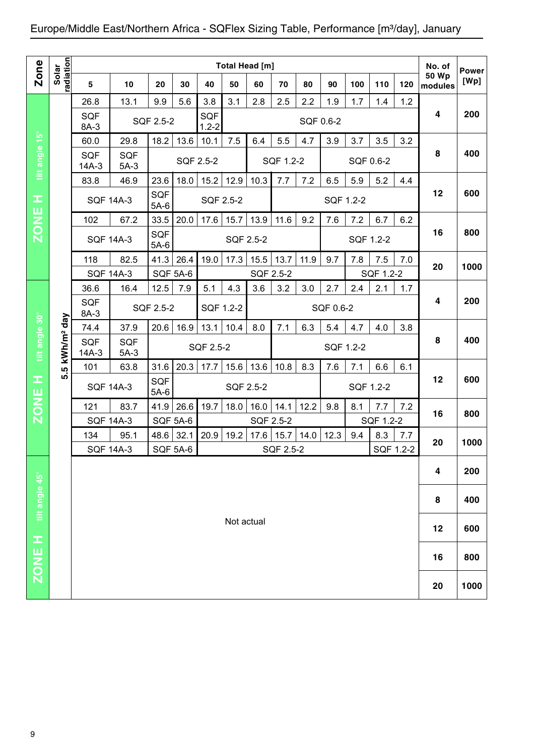| Solar<br>radiation<br>5<br>26.8<br><b>SQF</b><br>8A-3<br>60.0<br><b>SQF</b><br>$14A-3$<br>83.8 | 10<br>13.1<br>29.8<br><b>SQF</b><br>$5A-3$ | 20<br>9.9<br>SQF 2.5-2<br>18.2                                                                           | 30<br>5.6<br>13.6 | 40<br>3.8<br>SQF<br>$1.2 - 2$<br>10.1                   | 50<br>3.1        | 60<br>2.8                      | 70<br>2.5                                    | 80<br>2.2                      | 90<br>1.9         | 100<br>1.7 | 110<br>1.4                    | 120<br>1.2                    | <b>50 Wp</b><br>modules                    | <b>Power</b><br>[Wp]                |
|------------------------------------------------------------------------------------------------|--------------------------------------------|----------------------------------------------------------------------------------------------------------|-------------------|---------------------------------------------------------|------------------|--------------------------------|----------------------------------------------|--------------------------------|-------------------|------------|-------------------------------|-------------------------------|--------------------------------------------|-------------------------------------|
|                                                                                                |                                            |                                                                                                          |                   |                                                         |                  |                                |                                              |                                |                   |            |                               |                               |                                            |                                     |
|                                                                                                |                                            |                                                                                                          |                   |                                                         |                  |                                |                                              |                                |                   |            |                               |                               |                                            |                                     |
|                                                                                                |                                            |                                                                                                          |                   |                                                         |                  |                                |                                              |                                | SQF 0.6-2         |            |                               |                               | 4                                          | 200                                 |
|                                                                                                |                                            |                                                                                                          |                   |                                                         | 7.5              | 6.4                            | 5.5                                          | 4.7                            | 3.9               | 3.7        | 3.5                           | 3.2                           |                                            |                                     |
|                                                                                                |                                            |                                                                                                          |                   | SQF 2.5-2                                               |                  |                                | SQF 1.2-2                                    |                                |                   | SQF 0.6-2  |                               |                               | 8                                          | 400                                 |
|                                                                                                | 46.9                                       | 23.6                                                                                                     | 18.0              | 15.2                                                    | 12.9             | 10.3                           | 7.7                                          | 7.2                            | 6.5               | 5.9        | 5.2                           | 4.4                           |                                            |                                     |
|                                                                                                | <b>SQF 14A-3</b>                           | SQF<br>$5A-6$                                                                                            |                   | SQF 2.5-2                                               |                  |                                |                                              |                                | SQF 1.2-2         |            |                               |                               | 12                                         | 600                                 |
| 102                                                                                            | 67.2                                       | 33.5                                                                                                     | 20.0              | 17.6                                                    | 15.7             | 13.9                           | 11.6                                         | 9.2                            | 7.6               | 7.2        | 6.7                           | 6.2                           |                                            |                                     |
|                                                                                                |                                            | SQF<br>$5A-6$                                                                                            |                   |                                                         |                  |                                |                                              |                                |                   |            |                               |                               | 16                                         | 800                                 |
| 118                                                                                            | 82.5                                       | 41.3                                                                                                     | 26.4              | 19.0                                                    | 17.3             | 15.5                           | 13.7                                         | 11.9                           | 9.7               | 7.8        | 7.5                           | 7.0                           |                                            | 1000                                |
|                                                                                                |                                            |                                                                                                          |                   |                                                         |                  |                                |                                              |                                |                   |            |                               |                               |                                            |                                     |
| 36.6                                                                                           | 16.4                                       | 12.5                                                                                                     | 7.9               | 5.1                                                     | 4.3              | 3.6                            | 3.2                                          | 3.0                            | 2.7               | 2.4        | 2.1                           | 1.7                           |                                            |                                     |
| SQF<br>8A-3                                                                                    |                                            |                                                                                                          |                   |                                                         |                  |                                |                                              |                                |                   |            |                               |                               |                                            | 200                                 |
| 74.4                                                                                           | 37.9                                       | 20.6                                                                                                     | 16.9              | 13.1                                                    | 10.4             | 8.0                            | 7.1                                          | 6.3                            | 5.4               | 4.7        | 4.0                           | 3.8                           |                                            |                                     |
| <b>SQF</b><br>$14A-3$                                                                          | <b>SQF</b><br>$5A-3$                       |                                                                                                          |                   |                                                         |                  |                                |                                              |                                |                   |            |                               |                               |                                            | 400                                 |
| 101<br>ΙQ.                                                                                     | 63.8                                       | 31.6                                                                                                     | 20.3              | 17.7                                                    | 15.6             | 13.6                           | 10.8                                         | 8.3                            | 7.6               | 7.1        | 6.6                           | 6.1                           |                                            |                                     |
|                                                                                                |                                            | $5A-6$                                                                                                   |                   |                                                         |                  |                                |                                              |                                |                   |            |                               |                               |                                            | 600                                 |
| 121                                                                                            | 83.7                                       | 41.9                                                                                                     | 26.6              | 19.7                                                    | 18.0             | 16.0                           | 14.1                                         | 12.2                           | 9.8               | 8.1        | 7.7                           | 7.2                           |                                            | 800                                 |
|                                                                                                |                                            |                                                                                                          |                   |                                                         |                  |                                |                                              |                                |                   |            |                               |                               |                                            |                                     |
|                                                                                                |                                            |                                                                                                          |                   |                                                         |                  |                                |                                              |                                |                   |            |                               |                               | 20                                         | 1000                                |
|                                                                                                |                                            |                                                                                                          |                   |                                                         |                  |                                |                                              |                                |                   |            |                               |                               | 4                                          | 200                                 |
|                                                                                                |                                            |                                                                                                          |                   |                                                         |                  |                                |                                              |                                |                   |            |                               |                               |                                            | 400                                 |
|                                                                                                |                                            |                                                                                                          |                   |                                                         |                  |                                |                                              |                                |                   |            |                               |                               |                                            |                                     |
|                                                                                                |                                            |                                                                                                          |                   |                                                         |                  |                                |                                              |                                |                   |            |                               |                               | 12                                         | 600                                 |
|                                                                                                |                                            |                                                                                                          |                   |                                                         |                  |                                |                                              |                                |                   |            |                               |                               | 16                                         | 800                                 |
|                                                                                                |                                            |                                                                                                          |                   |                                                         |                  |                                |                                              |                                |                   |            |                               |                               |                                            | 1000                                |
| kWh/m <sup>2</sup> day<br>ທ່                                                                   | 134                                        | <b>SQF 14A-3</b><br><b>SQF 14A-3</b><br><b>SQF 14A-3</b><br><b>SQF 14A-3</b><br>95.1<br><b>SQF 14A-3</b> | SQF<br>48.6       | <b>SQF 5A-6</b><br>SQF 2.5-2<br><b>SQF 5A-6</b><br>32.1 | 20.9<br>SQF 5A-6 | SQF 1.2-2<br>SQF 2.5-2<br>19.2 | SQF 2.5-2<br>SQF 2.5-2<br>17.6<br>Not actual | SQF 2.5-2<br>SQF 2.5-2<br>15.7 | 14.0<br>SQF 2.5-2 | 12.3       | SQF 0.6-2<br>SQF 1.2-2<br>9.4 | SQF 1.2-2<br>SQF 1.2-2<br>8.3 | SQF 1.2-2<br>SQF 1.2-2<br>7.7<br>SQF 1.2-2 | 20<br>4<br>8<br>12<br>16<br>8<br>20 |